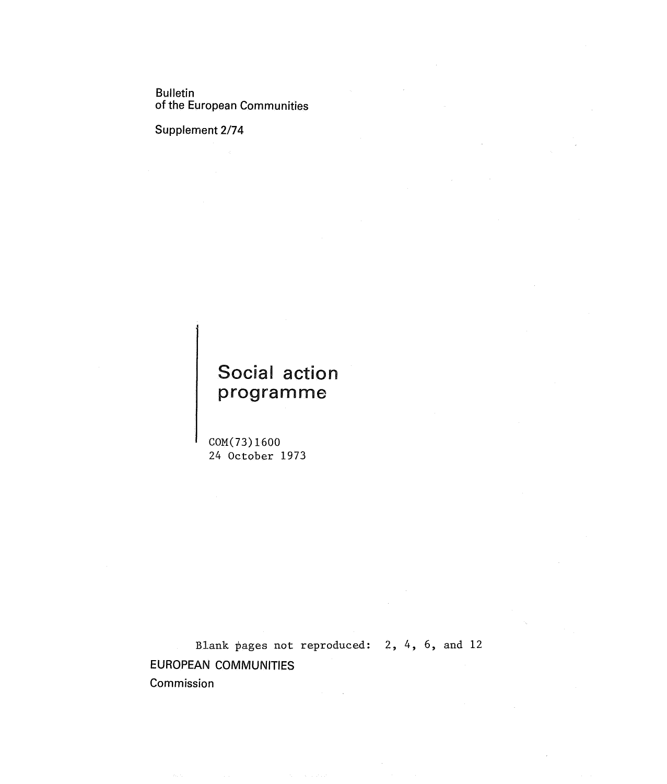Bulletin of the European Communities

Supplement 2/74

# Social action programme

COM(73) 1600 24 October 1973

Blank pages not reproduced: 2, 4, 6, and 12 EUROPEAN COMMUNITIES Commission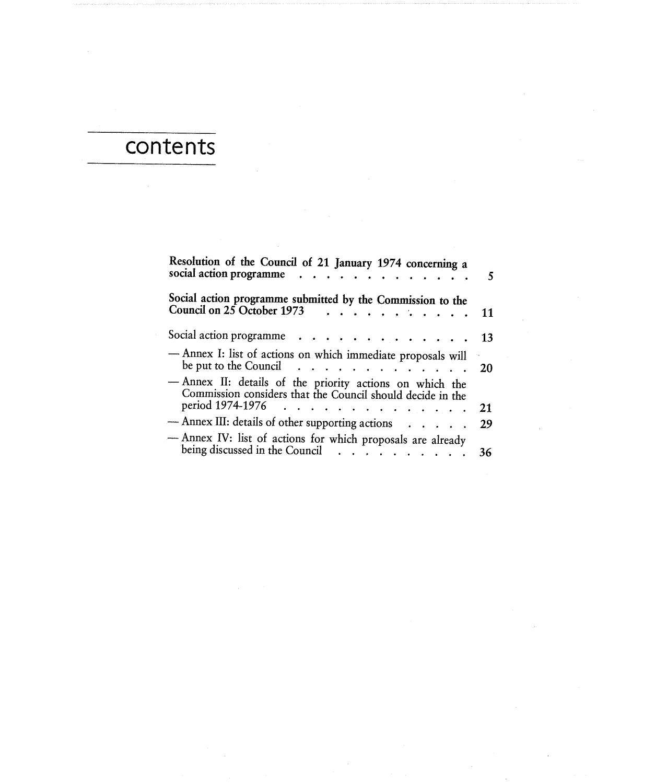# contents

| Resolution of the Council of 21 January 1974 concerning a<br>social action programme<br>$\sim$ $\sim$ $\sim$                                                                                                                                                                                                                     |          |
|----------------------------------------------------------------------------------------------------------------------------------------------------------------------------------------------------------------------------------------------------------------------------------------------------------------------------------|----------|
| Social action programme submitted by the Commission to the<br>Council on 25 October 1973<br><u>and the second contract of the second contract of the second contract of the second contract of the second contract of the second contract of the second contract of the second contract of the second contract of the second</u> | 11       |
| Social action programme .<br>$\mathcal{A}=\mathcal{A}=\mathcal{A}=\mathcal{A}=\mathcal{A}=\mathcal{A}$                                                                                                                                                                                                                           | 13       |
| - Annex I: list of actions on which immediate proposals will<br>be put to the Council $\cdots$ , $\cdots$ , $\cdots$ , $\cdots$                                                                                                                                                                                                  | 20       |
| - Annex II: details of the priority actions on which the<br>Commission considers that the Council should decide in the<br>period 1974-1976<br>$\mathcal{A}$ . The set of the set of the $\mathcal{A}$                                                                                                                            |          |
| - Annex III: details of other supporting actions                                                                                                                                                                                                                                                                                 | 21<br>29 |
| - Annex IV: list of actions for which proposals are already                                                                                                                                                                                                                                                                      |          |
| being discussed in the Council                                                                                                                                                                                                                                                                                                   | 36       |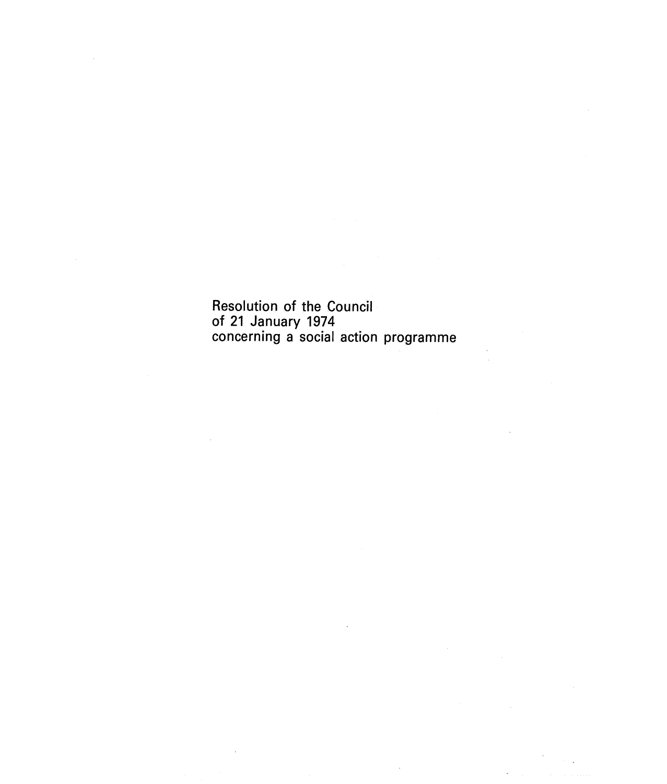Resolution of the Council of 21 January <sup>1974</sup> concerning a social action programme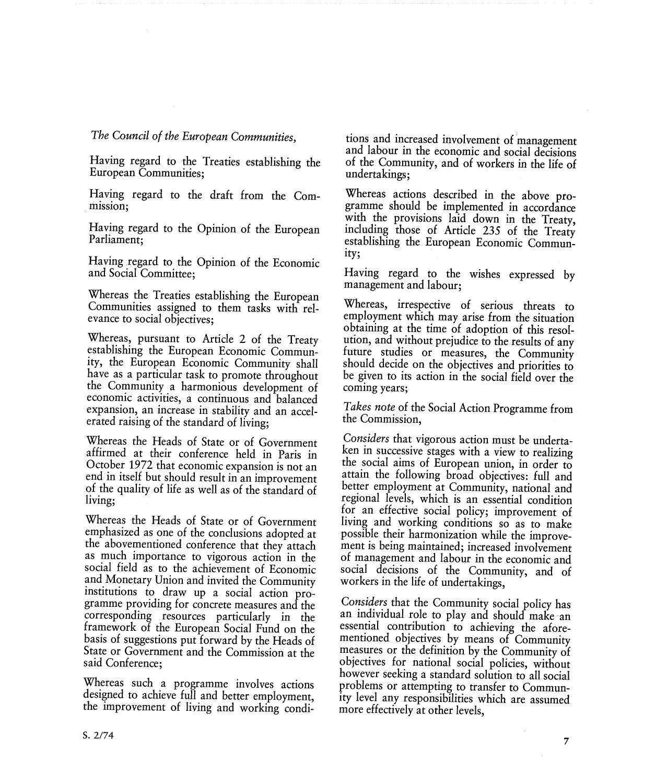The Council of the European Communities,

Having regard to the Treaties establishing the European Communities;

Having regard to the draft from the Commission;

Having regard to the Opinion of the European Parliament;

Having regard to the Opinion of the Economic and Social Committee;

Whereas the Treaties establishing the European Communities assigned to them tasks with relevance to social objectives;

Whereas, pursuant to Article 2 of the Treaty establishing the European Economic Community, the European Economic Community shall have as a particular task to promote throughout the Community a harmonious development of economic activities, a continuous and balanced expansion, an increase in stability and an accelerated raising of the standard of living;

Whereas the Heads of State or of Government affirmed at their conference held in Paris in October 1972 that economic expansion is not an end in itself but should result in an improvement of the quality of life as well as of the standard of living;

Whereas the Heads of State or of Government emphasized as one of the conclusions adopted at the abovementioned conference that they attach as much importance to vigorous action in the social field as to the achievement of Economic and Monetary Union and invited the Community institutions to draw up a social action programme providing for concrete measures and the corresponding resources particularly in the framework of the European Social Fund on the basis of suggestions put forward by the Heads of State or Government and the Commission at the said Conference;

Whereas such a programme involves actions designed to achieve full and better employment the improvement of living and working condi-

tions and increased involvement of managemen<sup>t</sup> and labour in the economic and social decisions of the Community, and of workers in the life of undertakings;

Whereas actions described in the above programme should be implemented in accordance with the provisions laid down in the Treaty, including those of Article 235 of the Treaty establishing the European Economic Community;

Having regard to the wishes expressed by management and labour;

Whereas, irrespective of serious threats to employment which may arise from the situation obtaining at the time of adoption of this resolution, and without prejudice to the results of any future studies or measures, the Community should decide on the objectives and priorities to be given to its action in the social field over the coming years;

Takes note of the Social Action Programme from the Commission

Considers that vigorous action must be undertaken in successive stages with a view to realizing the social aims of European union, in order to attain the following broad objectives: full and better employment at Community, national and regional levels, which is an essential condition for an effective social policy; improvement of living and working conditions so as to make possible their harmonization while the improvement is being maintained; increased involvement of management and labour in the economic and social decisions of the Community, and of workers in the life of undertakings

Considers that the Community social policy has an individual role to play and should make an essential contribution to achieving the aforementioned objectives by means of Community measures or the definition by the Community of objectives for national social policies, without however seeking a standard solution to all social problems or attempting to transfer to Community level any responsibilities which are assumed more effectively at other levels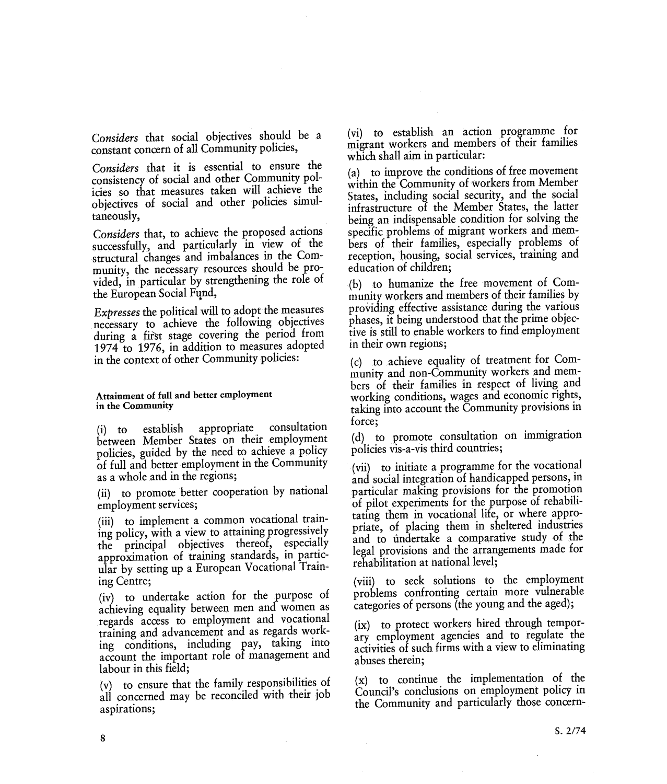Considers that social objectives should be a constant concern of all Community policies,

Considers that it is essential to ensure the consistency of social and other Community policies so that measures taken will achieve the objectives of social and other policies simultaneously,

Considers that, to achieve the proposed actions successfully, and particularly in view of the structural changes and imbalances in the Community, the necessary resources should be provided, in particular by strengthening the role of the European Social Fund,

Expresses the political will to adopt the measures necessary to achieve the following objectives during a first stage covering the period from 1974 to 1976, in addition to measures adopted in the context of other Community policies:

#### Attainment of full and better employment in the Community

(i) to establish appropriate consultation between Member States on their employment policies, guided by the need to achieve a policy of full and better employment in the Community as a whole and in the regions;

(ii) to promote better cooperation by national employment services;

(iii) to implement a common vocational train-<br>ing policy, with a view to attaining progressively the principal objectives thereof, especially approximation of training standards, in particular by setting up a European Vocational Train. ing Centre;

(iv) to undertake action for the purpose of achieving equality between men and women as regards access to employment and vocational ing conditions, including pay, taking into account the important role of management and labour in this field;

(v) to ensure that the family responsibilities of all concerned may be reconciled with their job aspirations;

(vi) to establish an action programme for migrant workers and members of their families which shall aim in particular:

(a) to improve the conditions of free movement within the Community of workers from Member States, including social security, and the social infrastructure of the Member States, the latter being an indispensable condition for solving the specific problems of migrant workers and members of their families, especially problems of reception, housing, social services, training and education of children;

(b) to humanize the free movement of Community workers and members of their families by providing effective assistance during the various phases, it being understood that the prime objective is still to enable workers to find employment in their own regions;

(c) to achieve equality of treatment for Community and non-Community workers and members of their families in respect of living and working conditions, wages and economic rights taking into account the Community provisions in force;

(d) to promote consultation on immigration policies vis-a-vis third countries;

(vii) to initiate a programme for the vocational and social integration of handicapped persons, in particular making provisions for the promotion of pilot experiments for the purpose of rehabilitating them in vocational life, or where appropriate, of placing them in sheltered industries and to undertake a comparative study of the legal provisions and the arrangements made for rehabilitation at national level;

(viii) to seek solutions to the employment problems confronting certain more vulnerable categories of persons (the young and the aged);

(ix) to protect workers hired through temporary employment agencies and to regulate the activities of such firms with a view to eliminating abuses therein;

(x) to continue the implementation of the Council's conclusions on employment policy in the Community and particularly those concern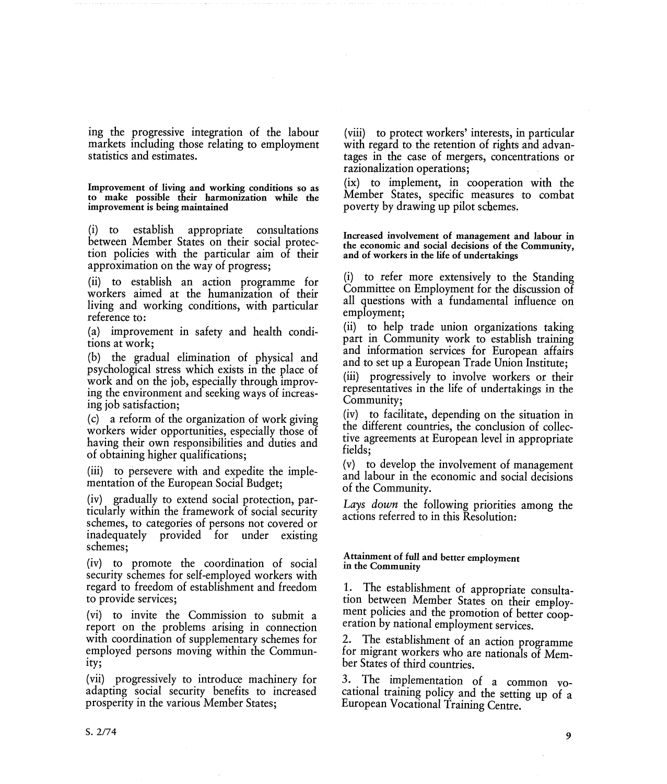ing the progressive integration of the labour markets including those relating to employment statistics and estimates.

Improvement of living and working conditions so as to make possible their harmonization while the improvement is being maintained

(i) to establish appropriate consultations between Member States on their social protection policies with the particular aim of their approximation on the way of progress;

(ii) to establish an action programme for workers aimed at the humanization of their living and working conditions, with particular reference to:

(a) improvement in safety and health conditions at work;

(b) the gradual elimination of physical and psychological stress which exists in the place of work and on the job, especially through improving the environment and seeking ways of increasing job satisfaction;

(c) a reform of the organization of work giving workers wider opportunities, especially those of having their own responsibilities and duties and of obtaining higher qualifications;

(iii) to persevere with and expedite the implementation of the European Social Budget;

(iv) gradually to extend social protection, par. ticularly within the framework of social security schemes, to categories of persons not covered or inadequately provided for under existing schemes;

(iv) to promote the coordination of social security schemes for self-employed workers with regard to freedom of establishment and freedom to provide services;

(vi) to invite the Commission to submit a report on the problems arising in connection with coordination of supplementary schemes for employed persons moving within the Community;

(vii) progressively to introduce machinery for adapting social security benefits to increased prosperity in the various Member States;

(viii) to protect workers' interests, in particular with regard to the retention of rights and advantages in the case of mergers, concentrations or razionalization operations;

(ix) to implement, in cooperation with the Member States, specific measures to combat poverty by drawing up pilot schemes.

Increased involvement of management and labour in the economic and social decisions of the Community, and of workers in the life of undertakings

(i) to refer more extensively to the Standing all questions with a fundamental influence on employment;

(ii) to help trade union organizations taking part in Community work to establish training and information services for European affairs and to set up a European Trade Union Institute;

(iii) progressively to involve workers or their representatives in the life of undertakings in the Community;

(iv) to facilitate, depending on the situation in the different countries, the conclusion of collec. tive agreements at European level in appropriate fields;

(v) to develop the involvement of management and labour in the economic and social decisions of the Community,

Lays down the following priorities among the actions referred to in this Resolution:

Attainment of full and better employment in the Community

: The establishment of appropriate consulta. tion between Member States on their employment policies and the promotion of better cooperation by national employment services.

2. The establishment of an action programme for migrant workers who are nationals of Member States of third countries.

3. The implementation of a common vocational training policy and the setting up of a European Vocational Training Centre.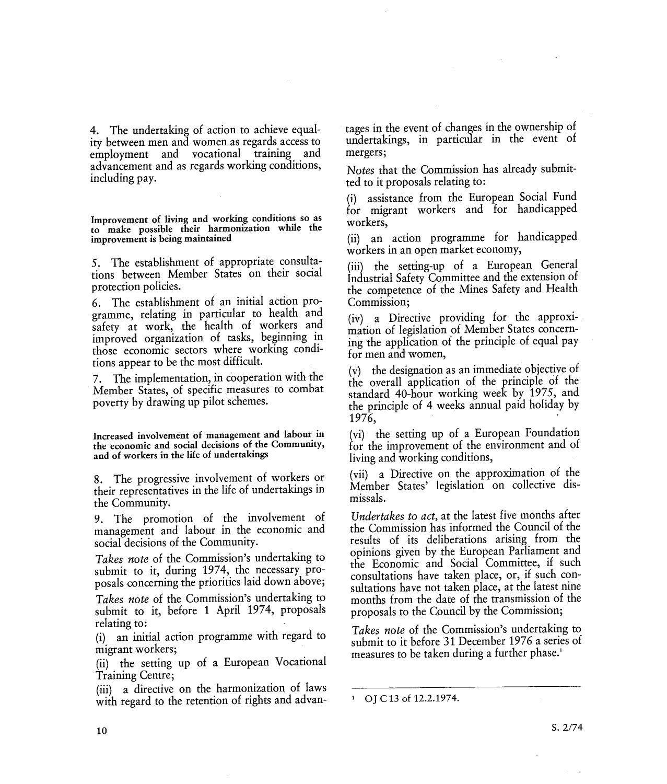4, The undertaking of action to achieve equality between men and women as regards access to employment and vocational training and advancement and as regards working conditions including pay,

Improvement of living and working conditions so as to make possible their harmonization while the improvement is being maintained

5. The establishment of appropriate consultations between Member States on their social protection policies,

6. The establishment of an initial action programme, relating in particular to health and safety at work, the health of workers and improved organization of tasks, beginning in those economic sectors where working condi. tions appear to be the most difficult.

7, The implementation, in cooperation with the Member States, of specific measures to combat poverty by drawing up pilot schemes.

Increased involvement of management and labour in the economic and social decisions of the Community, and of workers in the life of undertakings

8. The progressive involvement of workers or their representatives in the life of undertakings in the Community.

9. The promotion of the involvement of management and labour in the economic and social decisions of the Community.

Takes note of the Commission's undertaking to submit to it, during 1974, the necessary proposals concerning the priorities laid down above;

Takes note of the Commission's undertaking to submit to it, before 1 April 1974, proposals relating to:

(i) an initial action programme with regard to migrant workers;

(ii) the setting up of a European Vocational Training Centre;

(iii) a directive on the harmonization of laws with regard to the retention of rights and advantages in the event of changes in the ownership of undertakings, in particular in the event mergers;

Notes that the Commission has already submit ted to it proposals relating to:

(i) assistance from the European Social Fund for migrant workers and for handicapped workers

(ii) an action programme for handicapped workers in an open market economy,

(iii) the setting-up of a European General Industrial Safety Committee and the extension of the competence of the Mines Safety and Health Commission;

(iv) a Directive providing for the appraxi mation of legislation of Member States concern ing the application of the principle of equal pay for men and women,

(v) the designation as an immediate objective of the overall application of the principle of the standard 40-hour working week by 1975, and the principle of 4 weeks annual paid holiday by 1976,

(vi) the setting up of a European Foundation for the improvement of the environment and of living and working conditions

(vii) a Directive on the approximation of the Member States' legislation on collective dis missals.

Undertakes to act, at the latest five months after the Commission has informed the Council of the results of its deliberations arising from the opinions given by the European Parliament and the Economic and Social Committee, if such consultations have taken place, or, if such con. sultations have not taken place, at the latest nine months from the date of the transmission of the proposals to the Council by the Commission;

Takes note of the Commission's undertaking to submit to it before 31 December 1976 a series of measures to be taken during a further phase.<sup>1</sup>

<sup>&</sup>lt;sup>1</sup> OJ C 13 of 12.2.1974.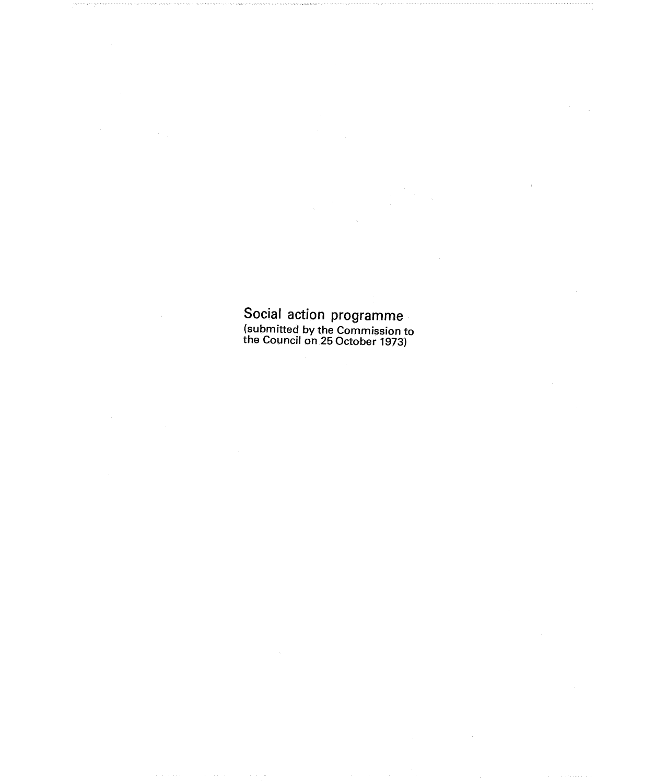Social action programme (submitted by the Commission to the Council on 25 Octaber 1973)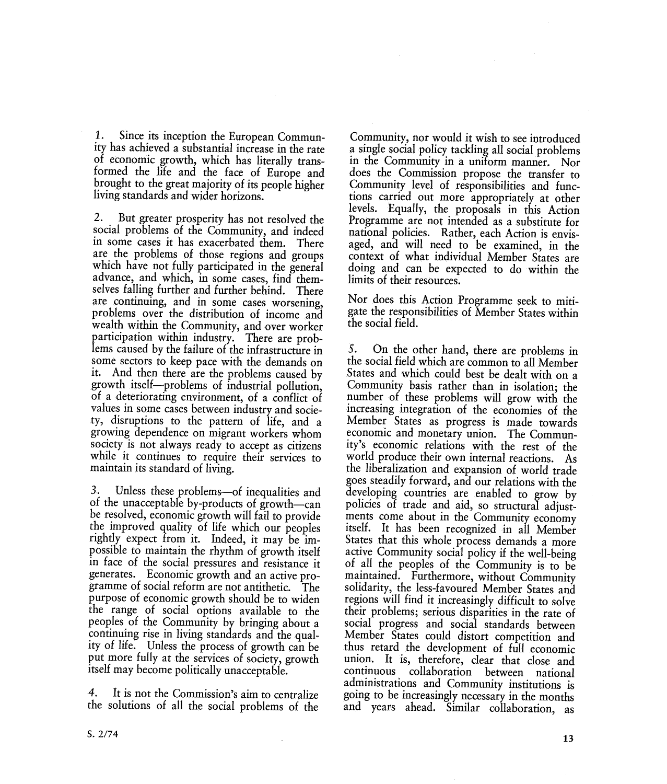1. Since its inception the European Community has achieved a substantial increase in the rate of economic growth, which has literally trans- formed the life and the face of Europe and brought to the great majarity of its people higher living standards and wider horizons,

2. But greater prosperity has not resolved the social problems of the Community, and indeed<br>in some cases it has exacerbated them. There<br>are the problems of those regions and groups which have not fully participated in the general advance, and which, in some cases, find themselves falling further and further behind, There are continuing, and in some cases worsening, problems over the distribution of income and wealth within the Community, and over worker participation within industry. There are problems caused by the failure of the infrastructure in some sectors to keep pace with the demands on it. And then there are the problems caused by growth itself-problems of industrial pollution, of a deteriorating environment, of a conflict of values in some cases between industry and society, disruptions to the pattern of life, and a growing dependence on migrant workers whom society is not always ready to accept as citizens while it continues to require their services to maintain its standard of living,

3. Unless these problems-of inequalities and of the unacceptable by-products of growth-can be resolved, economic growth will fail to provide the improved quality of life which our peoples rightly expect from it. Indeed, it may be impossible to maintain the rhythm of growth itself in face of the social pressures and resistance it generates. Economic growth and an active programme of social reform are not antithetic. The purpose of economic growth should be to widen the range of social options available to the peoples of the Community by bringing about a continuing rise in living standards and the quality of life. Unless the process of growth can be put more fully at the services of society, growth itself may become politically unacceptable.

4. It is not the Commission's aim to centralize the solutions of all the social problems of the

Community, nor would it wish to see introduced a single social policy tackling all social problems in the Community in a uniform manner. Nor does the Commission propose the transfer to<br>Community level of responsibilities and functions carried out more appropriately at other levels. Equally, the proposals in this Action Programme are not intended as a substitute for national policies. Rather, each Action is envis aged, and will need to be examined, in the context of what individual Member States are doing and can be expected to do within the limits of their resources.

Nor daes this Action Programme seek to mitigate the responsibilities of Member States within the social field,

5. On the other hand, there are problems in the social field which are common to all Member States and which could best be dealt with on a Community basis rather than in isolation; the number of these problems will grow with the<br>increasing integration of the economies of the Member States as progress is made towards economic and monetary union, The Community's economic relations with the rest of the world produce their own internal reactions, As the liberalization and expansion of world trade goes steadily forward, and our relatians with the developing countries are enabled to grow policies of trade and aid, so structural adjustments come about in the Community economy itself. It has been recognized in all Member States that this whole process demands a more active Community social policy if the well-being of all the peoples of the Community is to be maintained. Furthermore, without Community solidarity, the less-favoured Member States and regions will find it increasingly difficult to solve their problems; serious disparities in the rate of social progress and social standards between Member States could distort competition and thus retard the development of full economic union. It is, therefore, clear that close and continuous collaboration between national administrations and Community institutions is going to be increasingly necessary in the manths and years ahead, Similar callaboration, as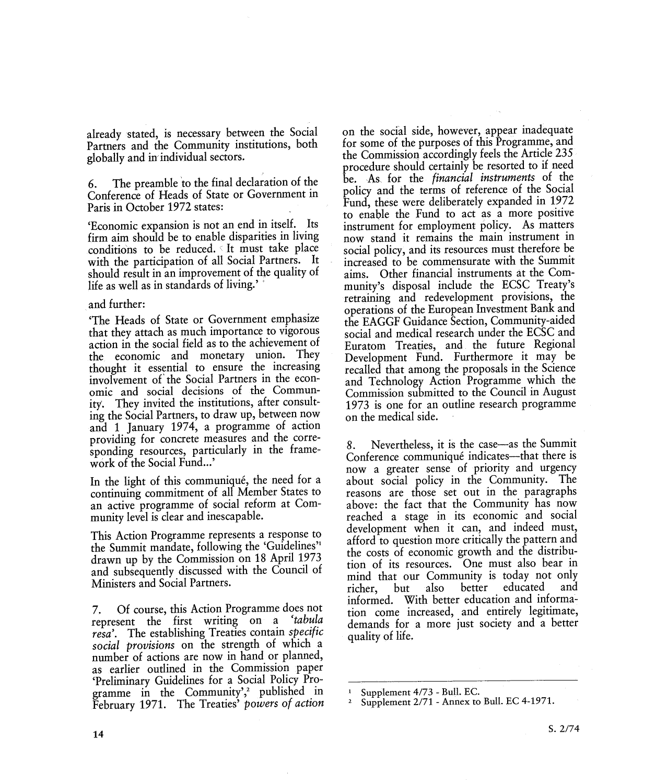already stated, is necessary between the Social Partners and the Community institutions, both globally and in individual sectors.

6. The preamble ta the final declaration of the Canference of Heads of State or Government in Paris in October 1972 states:

Economic expansion is not an end in itself, Its firm aim should be to enable disparities in living conditions to be reduced. It must take place with the participation of all Social Partners. It should result in an improvement of the quality of life as well as in standards of living.'

### and further:

The Heads of State or Government emphasize that they attach as much importance to vigorous action in the social field as ta the achievement of the economic and monetary union. They thought it essential to ensure the increasing involvement of the Social Partners in the economic and social decisions of the Community. They invited the institutions, after consulting the Social Partners, to draw up, between now and 1 January 1974, a programme of action providing for concrete measures and the correspanding resources, particularly in the framework of the Social Fund...'

In the light of this communique, the need for a continuing commitment of all Member States to an active programme of social reform at Community level is clear and inescapable,

This Action Programme represents a response to the Summit mandate, following the 'Guidelines drawn up by the Commission on 18 April 1973 and subsequently discussed with the Council of Ministers and Social Partners.

7. Of course, this Action Programme does not represent the first writing on a 'tabula resa'. The establishing Treaties contain specific social provisions on the strength of which a number of actions are now in hand or planned as earlier outlined in the Commission paper 'Preliminary Guidelines for a Social Policy Pro-<br>gramme in the Community',<sup>2</sup> published in February 1971. The Treaties' powers of action on the social side, however, appear inadequate for some of the purposes of this Programme, and the Commission accordingly feels the Article 235 procedure should certainly be resorted ta if need be. As for the *financial instruments* of the policy and the terms of reference of the Social Fund, these were deliberately expanded in 1972 to enable the Fund to act as a more positive instrument for employment policy. As matters now stand it remains the main instrument in social policy, and its resources must therefore be increased to be commensurate with the Summit aims, Other financial instruments at the Com. munity's disposal include the ECSC Treaty's retraining and redevelopment provisions, the operations of the European Investment Bank and the EAGGF Guidance Section, Community-aided social and medical research under the ECSC and Euratom Treaties, and the future Regional Development Fund, Furthermore it may be recalled that among the praposals in the Science and Technology Action Programme which the Commission submitted to the Council in August 1973 is one for an outline research programme on the medical side,

8. Nevertheless, it is the case-as the Summit Conference communiqué indicates—that there is<br>now a greater sense of priority and urgency about social policy in the Community. The reasons are those set out in the paragraphs above: the fact that the Community has now reached a stage in its economic and social development when it can, and indeed must, afford to question more critically the pattern and<br>the costs of economic growth and the distribution of its resources. One must also bear in mind that our Community is today not only<br>richer, but also better educated and informed. With better education and information come increased, and entirely legitimate demands for a more just society and a better quality of life.

I Supplement 4/73 - Bull. Ec.

Supplement 2/71 - Annex to Bull. EC 4-1971.  $\mathbf 2$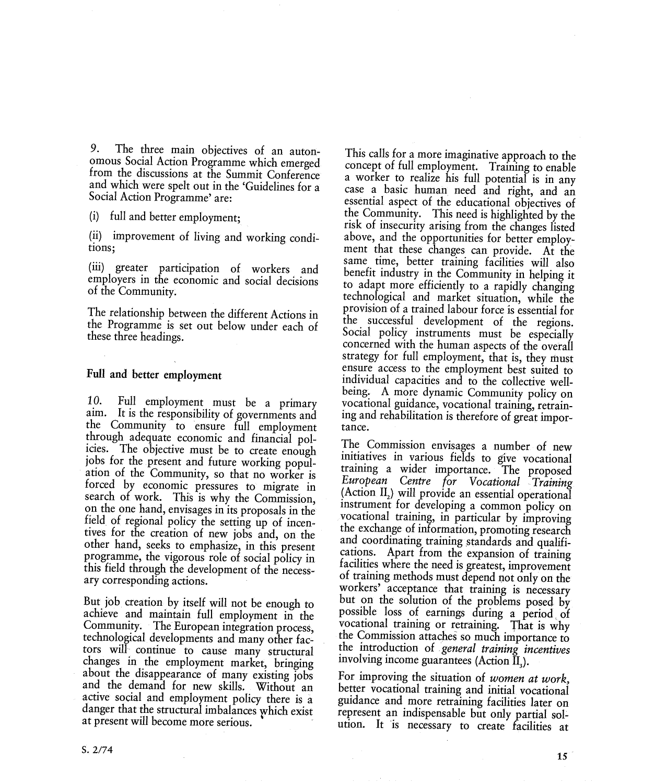9. The three main objectives of an autonomous Social Action Programme which emerged from the discussions at the Summit Conference and which were spelt out in the 'Guidelines for aSocial Action Programme' are:

(i) full and better employment;

(ii) improvement of living and working conditions;

(iii) greater participation of workers and employers in the economic and social decisionsof the Community.

The relationship between the different Actions in the Programme is set out below under each ofthese three headings.

## Full and better employment

10. Full employment must be a primary aim. It is the responsibility of governments and the Community to ensure full employment through adequate economic and financial pol icies. The objective must be to create enoug<sup>h</sup> jobs for the present and future working population of the Community, so that no worker is forced by economic pressures to migrate in search of work. This is why the Commission on the one hand, envisages in its proposals in the field of regional policy the setting up of incentives for the creation of new jobs and, on the other hand, seeks to emphasize, in this present programme, the vigorous role of social policy in this field through the development of the necessary corresponding actions,

But job creation by itself will not be enough to achieve and maintain full employment in the Community. The European integration process technological developments and many other factors will continue to cause many structural changes in the employment market, bringing about the disappearance of many existing jobs and the demand for new skills. Without an active social and employment policy there is a danger that the structural imbalances which exist at present will become more serious.

This calls for a more imaginative approach to the concept of full employment. Training to enable a worker to realize his full potential is in any case a basic human need and right, and an essential aspect of the educational objectives of the Community. This need is highlighted by the risk of insecurity arising from the changes listed above, and the opportunities for better employ ment that these changes can provide, At the same time, better training facilities will also benefit industry in the Community in helping it to adapt more efficiently to a rapidly changing technological and market situation, while the pravision of a trained labour force is essential for the successful development of the regions. Social policy instruments must be especially concerned with the human aspects of the overall strategy for full employment, that is, they must ensure access to the employment best suited to individual capacities and to the collective wellbeing. A more dynamic Community policy on vocational guidance, vocational training, retrain ing and rehabilitation is therefore of great impor. tance.

The Commission envisages a number of new initiatives in various fields to give vocational training a wider imyortance, The Propose<sup>d</sup>European Centre for Vocational Training (Action  $II_2$ ) will provide an essential operational instrument for developing a common policy on vocational training, in particular by improving the exchange of information, promoting researchand coordinating training standards and qualifications. Apart from the expansion of training facilities where the need is greatest, improvementof training methods must depend not only on the workers' acceptance that training is necessary but on the solution of the problems posed. bypossible loss of earnings during a period of vocational training or retraining. That is why the Commission attaches so much importance to the introduction of general training incentivesinvolving income guarantees (Action II.).

For improving the situation of women at work, better vocational training and initial vocational guidance and more retraining facilities later onrepresent an indispensable but only partial sol. ution. It is necessary to create facilities at